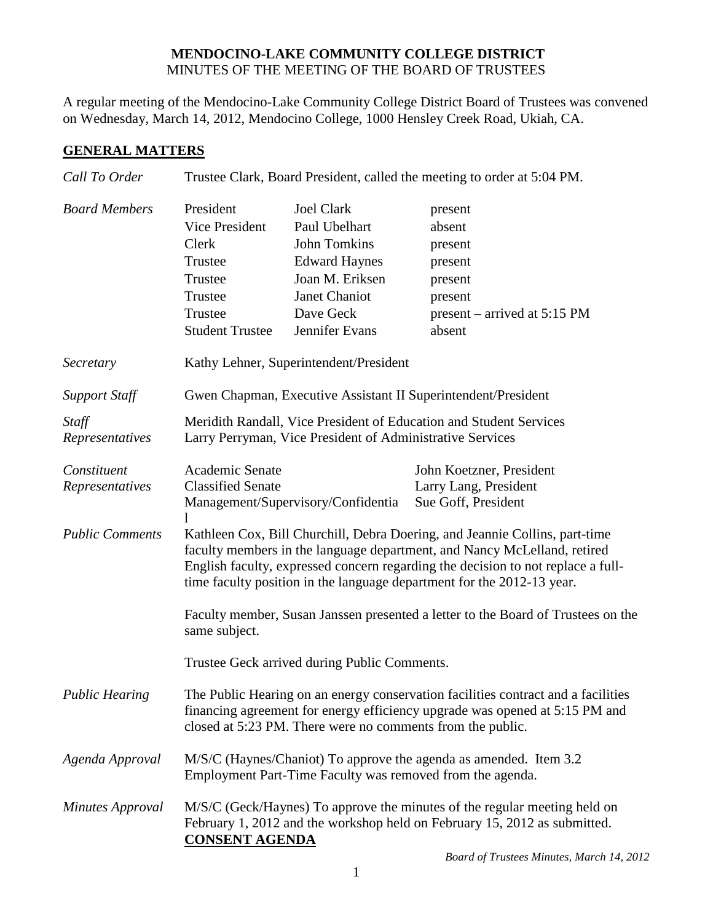## **MENDOCINO-LAKE COMMUNITY COLLEGE DISTRICT** MINUTES OF THE MEETING OF THE BOARD OF TRUSTEES

A regular meeting of the Mendocino-Lake Community College District Board of Trustees was convened on Wednesday, March 14, 2012, Mendocino College, 1000 Hensley Creek Road, Ukiah, CA.

## **GENERAL MATTERS**

| Call To Order                  | Trustee Clark, Board President, called the meeting to order at 5:04 PM.                                                                                                                                                                                                                                               |                                                                                                                                               |                                                                                                           |  |
|--------------------------------|-----------------------------------------------------------------------------------------------------------------------------------------------------------------------------------------------------------------------------------------------------------------------------------------------------------------------|-----------------------------------------------------------------------------------------------------------------------------------------------|-----------------------------------------------------------------------------------------------------------|--|
| <b>Board Members</b>           | President<br>Vice President<br>Clerk<br>Trustee<br>Trustee<br>Trustee<br>Trustee<br><b>Student Trustee</b>                                                                                                                                                                                                            | <b>Joel Clark</b><br>Paul Ubelhart<br>John Tomkins<br><b>Edward Haynes</b><br>Joan M. Eriksen<br>Janet Chaniot<br>Dave Geck<br>Jennifer Evans | present<br>absent<br>present<br>present<br>present<br>present<br>present – arrived at $5:15$ PM<br>absent |  |
| Secretary                      | Kathy Lehner, Superintendent/President                                                                                                                                                                                                                                                                                |                                                                                                                                               |                                                                                                           |  |
| <b>Support Staff</b>           | Gwen Chapman, Executive Assistant II Superintendent/President                                                                                                                                                                                                                                                         |                                                                                                                                               |                                                                                                           |  |
| Staff<br>Representatives       | Meridith Randall, Vice President of Education and Student Services<br>Larry Perryman, Vice President of Administrative Services                                                                                                                                                                                       |                                                                                                                                               |                                                                                                           |  |
| Constituent<br>Representatives | Academic Senate<br><b>Classified Senate</b>                                                                                                                                                                                                                                                                           | Management/Supervisory/Confidentia                                                                                                            | John Koetzner, President<br>Larry Lang, President<br>Sue Goff, President                                  |  |
| <b>Public Comments</b>         | Kathleen Cox, Bill Churchill, Debra Doering, and Jeannie Collins, part-time<br>faculty members in the language department, and Nancy McLelland, retired<br>English faculty, expressed concern regarding the decision to not replace a full-<br>time faculty position in the language department for the 2012-13 year. |                                                                                                                                               |                                                                                                           |  |
|                                | Faculty member, Susan Janssen presented a letter to the Board of Trustees on the<br>same subject.                                                                                                                                                                                                                     |                                                                                                                                               |                                                                                                           |  |
|                                | Trustee Geck arrived during Public Comments.                                                                                                                                                                                                                                                                          |                                                                                                                                               |                                                                                                           |  |
| <b>Public Hearing</b>          | The Public Hearing on an energy conservation facilities contract and a facilities<br>financing agreement for energy efficiency upgrade was opened at 5:15 PM and<br>closed at 5:23 PM. There were no comments from the public.                                                                                        |                                                                                                                                               |                                                                                                           |  |
| Agenda Approval                | M/S/C (Haynes/Chaniot) To approve the agenda as amended. Item 3.2<br>Employment Part-Time Faculty was removed from the agenda.                                                                                                                                                                                        |                                                                                                                                               |                                                                                                           |  |
| <b>Minutes Approval</b>        | M/S/C (Geck/Haynes) To approve the minutes of the regular meeting held on<br>February 1, 2012 and the workshop held on February 15, 2012 as submitted.<br><b>CONSENT AGENDA</b>                                                                                                                                       |                                                                                                                                               |                                                                                                           |  |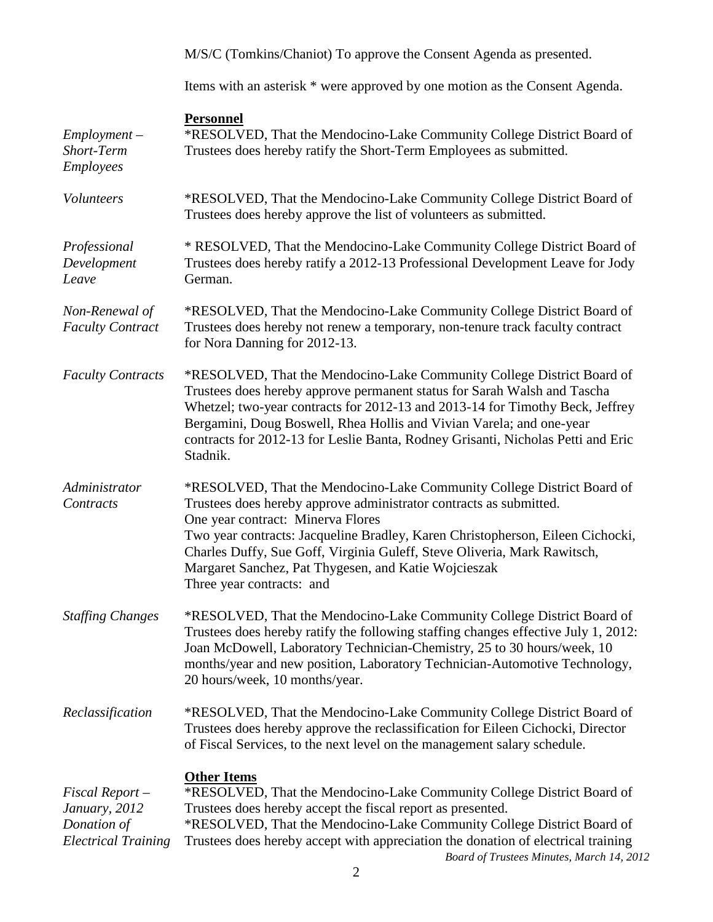|                                                                                  | M/S/C (Tomkins/Chaniot) To approve the Consent Agenda as presented.                                                                                                                                                                                                                                                                                                                                                                  |
|----------------------------------------------------------------------------------|--------------------------------------------------------------------------------------------------------------------------------------------------------------------------------------------------------------------------------------------------------------------------------------------------------------------------------------------------------------------------------------------------------------------------------------|
|                                                                                  | Items with an asterisk * were approved by one motion as the Consent Agenda.                                                                                                                                                                                                                                                                                                                                                          |
| $Employment -$<br>Short-Term<br><b>Employees</b>                                 | <b>Personnel</b><br>*RESOLVED, That the Mendocino-Lake Community College District Board of<br>Trustees does hereby ratify the Short-Term Employees as submitted.                                                                                                                                                                                                                                                                     |
| Volunteers                                                                       | *RESOLVED, That the Mendocino-Lake Community College District Board of<br>Trustees does hereby approve the list of volunteers as submitted.                                                                                                                                                                                                                                                                                          |
| Professional<br>Development<br>Leave                                             | * RESOLVED, That the Mendocino-Lake Community College District Board of<br>Trustees does hereby ratify a 2012-13 Professional Development Leave for Jody<br>German.                                                                                                                                                                                                                                                                  |
| Non-Renewal of<br><b>Faculty Contract</b>                                        | *RESOLVED, That the Mendocino-Lake Community College District Board of<br>Trustees does hereby not renew a temporary, non-tenure track faculty contract<br>for Nora Danning for 2012-13.                                                                                                                                                                                                                                             |
| <b>Faculty Contracts</b>                                                         | *RESOLVED, That the Mendocino-Lake Community College District Board of<br>Trustees does hereby approve permanent status for Sarah Walsh and Tascha<br>Whetzel; two-year contracts for 2012-13 and 2013-14 for Timothy Beck, Jeffrey<br>Bergamini, Doug Boswell, Rhea Hollis and Vivian Varela; and one-year<br>contracts for 2012-13 for Leslie Banta, Rodney Grisanti, Nicholas Petti and Eric<br>Stadnik.                          |
| Administrator<br>Contracts                                                       | *RESOLVED, That the Mendocino-Lake Community College District Board of<br>Trustees does hereby approve administrator contracts as submitted.<br>One year contract: Minerva Flores<br>Two year contracts: Jacqueline Bradley, Karen Christopherson, Eileen Cichocki,<br>Charles Duffy, Sue Goff, Virginia Guleff, Steve Oliveria, Mark Rawitsch,<br>Margaret Sanchez, Pat Thygesen, and Katie Wojcieszak<br>Three year contracts: and |
| <b>Staffing Changes</b>                                                          | *RESOLVED, That the Mendocino-Lake Community College District Board of<br>Trustees does hereby ratify the following staffing changes effective July 1, 2012:<br>Joan McDowell, Laboratory Technician-Chemistry, 25 to 30 hours/week, 10<br>months/year and new position, Laboratory Technician-Automotive Technology,<br>20 hours/week, 10 months/year.                                                                              |
| Reclassification                                                                 | *RESOLVED, That the Mendocino-Lake Community College District Board of<br>Trustees does hereby approve the reclassification for Eileen Cichocki, Director<br>of Fiscal Services, to the next level on the management salary schedule.                                                                                                                                                                                                |
| $Fixed$ Report $-$<br>January, 2012<br>Donation of<br><b>Electrical Training</b> | <b>Other Items</b><br>*RESOLVED, That the Mendocino-Lake Community College District Board of<br>Trustees does hereby accept the fiscal report as presented.<br>*RESOLVED, That the Mendocino-Lake Community College District Board of<br>Trustees does hereby accept with appreciation the donation of electrical training<br>Board of Trustees Minutes, March 14, 2012                                                              |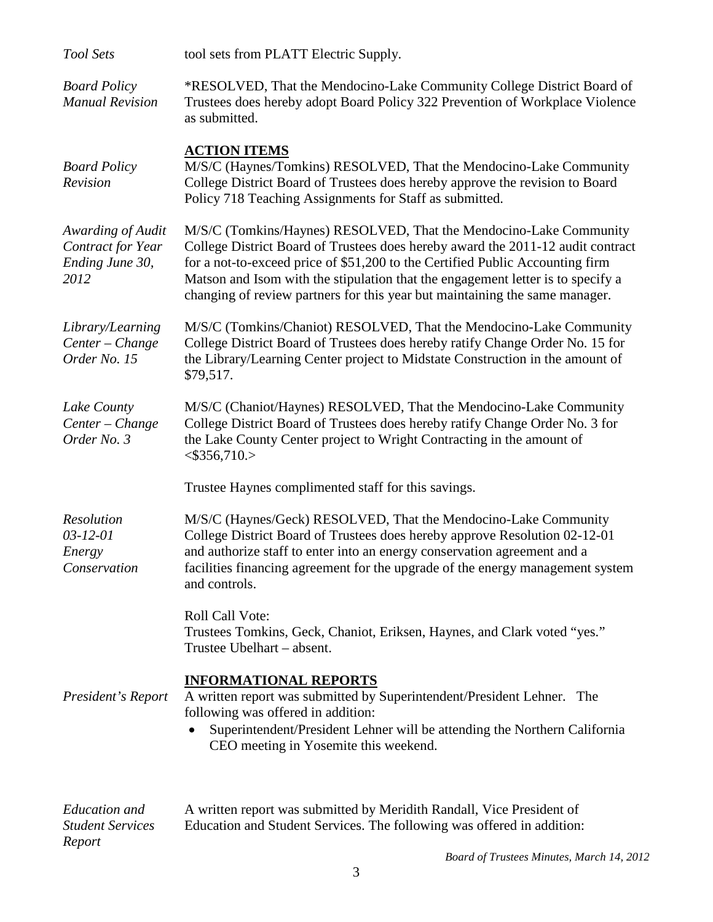| <b>Tool Sets</b>                                                  | tool sets from PLATT Electric Supply.                                                                                                                                                                                                                                                                                                                                                                    |  |  |
|-------------------------------------------------------------------|----------------------------------------------------------------------------------------------------------------------------------------------------------------------------------------------------------------------------------------------------------------------------------------------------------------------------------------------------------------------------------------------------------|--|--|
| <b>Board Policy</b><br><b>Manual Revision</b>                     | *RESOLVED, That the Mendocino-Lake Community College District Board of<br>Trustees does hereby adopt Board Policy 322 Prevention of Workplace Violence<br>as submitted.                                                                                                                                                                                                                                  |  |  |
| <b>Board Policy</b><br>Revision                                   | <b>ACTION ITEMS</b><br>M/S/C (Haynes/Tomkins) RESOLVED, That the Mendocino-Lake Community<br>College District Board of Trustees does hereby approve the revision to Board<br>Policy 718 Teaching Assignments for Staff as submitted.                                                                                                                                                                     |  |  |
| Awarding of Audit<br>Contract for Year<br>Ending June 30,<br>2012 | M/S/C (Tomkins/Haynes) RESOLVED, That the Mendocino-Lake Community<br>College District Board of Trustees does hereby award the 2011-12 audit contract<br>for a not-to-exceed price of \$51,200 to the Certified Public Accounting firm<br>Matson and Isom with the stipulation that the engagement letter is to specify a<br>changing of review partners for this year but maintaining the same manager. |  |  |
| Library/Learning<br>Center - Change<br>Order No. 15               | M/S/C (Tomkins/Chaniot) RESOLVED, That the Mendocino-Lake Community<br>College District Board of Trustees does hereby ratify Change Order No. 15 for<br>the Library/Learning Center project to Midstate Construction in the amount of<br>\$79,517.                                                                                                                                                       |  |  |
| Lake County<br>Center - Change<br>Order No. 3                     | M/S/C (Chaniot/Haynes) RESOLVED, That the Mendocino-Lake Community<br>College District Board of Trustees does hereby ratify Change Order No. 3 for<br>the Lake County Center project to Wright Contracting in the amount of<br>$<$ \$356,710.>                                                                                                                                                           |  |  |
|                                                                   | Trustee Haynes complimented staff for this savings.                                                                                                                                                                                                                                                                                                                                                      |  |  |
| Resolution<br>$03 - 12 - 01$<br>Energy<br>Conservation            | M/S/C (Haynes/Geck) RESOLVED, That the Mendocino-Lake Community<br>College District Board of Trustees does hereby approve Resolution 02-12-01<br>and authorize staff to enter into an energy conservation agreement and a<br>facilities financing agreement for the upgrade of the energy management system<br>and controls.                                                                             |  |  |
|                                                                   | Roll Call Vote:<br>Trustees Tomkins, Geck, Chaniot, Eriksen, Haynes, and Clark voted "yes."<br>Trustee Ubelhart – absent.                                                                                                                                                                                                                                                                                |  |  |
| President's Report                                                | <b>INFORMATIONAL REPORTS</b><br>A written report was submitted by Superintendent/President Lehner. The<br>following was offered in addition:<br>Superintendent/President Lehner will be attending the Northern California<br>CEO meeting in Yosemite this weekend.                                                                                                                                       |  |  |
| <b>Education</b> and<br><b>Student Services</b><br>Report         | A written report was submitted by Meridith Randall, Vice President of<br>Education and Student Services. The following was offered in addition:                                                                                                                                                                                                                                                          |  |  |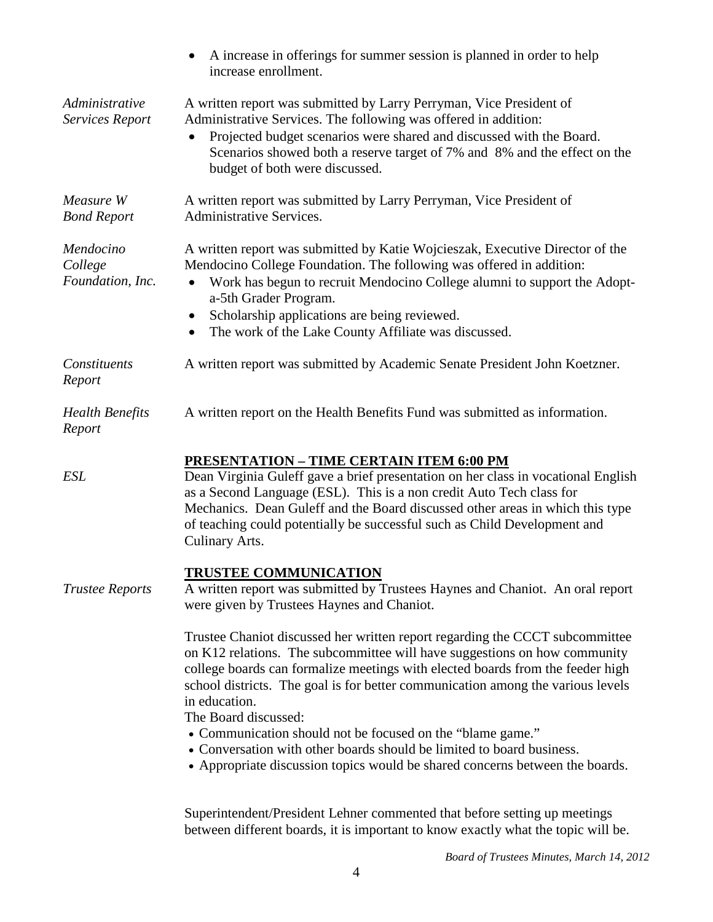|                                          | A increase in offerings for summer session is planned in order to help<br>increase enrollment.                                                                                                                                                                                                                                                                                                                                                                                                                                                                                                 |
|------------------------------------------|------------------------------------------------------------------------------------------------------------------------------------------------------------------------------------------------------------------------------------------------------------------------------------------------------------------------------------------------------------------------------------------------------------------------------------------------------------------------------------------------------------------------------------------------------------------------------------------------|
| Administrative<br>Services Report        | A written report was submitted by Larry Perryman, Vice President of<br>Administrative Services. The following was offered in addition:<br>Projected budget scenarios were shared and discussed with the Board.<br>Scenarios showed both a reserve target of 7% and 8% and the effect on the<br>budget of both were discussed.                                                                                                                                                                                                                                                                  |
| Measure W<br><b>Bond Report</b>          | A written report was submitted by Larry Perryman, Vice President of<br><b>Administrative Services.</b>                                                                                                                                                                                                                                                                                                                                                                                                                                                                                         |
| Mendocino<br>College<br>Foundation, Inc. | A written report was submitted by Katie Wojcieszak, Executive Director of the<br>Mendocino College Foundation. The following was offered in addition:<br>Work has begun to recruit Mendocino College alumni to support the Adopt-<br>a-5th Grader Program.<br>Scholarship applications are being reviewed.<br>$\bullet$<br>The work of the Lake County Affiliate was discussed.<br>٠                                                                                                                                                                                                           |
| Constituents<br>Report                   | A written report was submitted by Academic Senate President John Koetzner.                                                                                                                                                                                                                                                                                                                                                                                                                                                                                                                     |
| <b>Health Benefits</b><br>Report         | A written report on the Health Benefits Fund was submitted as information.                                                                                                                                                                                                                                                                                                                                                                                                                                                                                                                     |
| <b>ESL</b>                               | <b>PRESENTATION - TIME CERTAIN ITEM 6:00 PM</b><br>Dean Virginia Guleff gave a brief presentation on her class in vocational English<br>as a Second Language (ESL). This is a non credit Auto Tech class for<br>Mechanics. Dean Guleff and the Board discussed other areas in which this type<br>of teaching could potentially be successful such as Child Development and<br>Culinary Arts.                                                                                                                                                                                                   |
| <b>Trustee Reports</b>                   | <b>TRUSTEE COMMUNICATION</b><br>A written report was submitted by Trustees Haynes and Chaniot. An oral report<br>were given by Trustees Haynes and Chaniot.                                                                                                                                                                                                                                                                                                                                                                                                                                    |
|                                          | Trustee Chaniot discussed her written report regarding the CCCT subcommittee<br>on K12 relations. The subcommittee will have suggestions on how community<br>college boards can formalize meetings with elected boards from the feeder high<br>school districts. The goal is for better communication among the various levels<br>in education.<br>The Board discussed:<br>• Communication should not be focused on the "blame game."<br>• Conversation with other boards should be limited to board business.<br>• Appropriate discussion topics would be shared concerns between the boards. |
|                                          | Superintendent/President Lehner commented that before setting up meetings                                                                                                                                                                                                                                                                                                                                                                                                                                                                                                                      |

between different boards, it is important to know exactly what the topic will be.